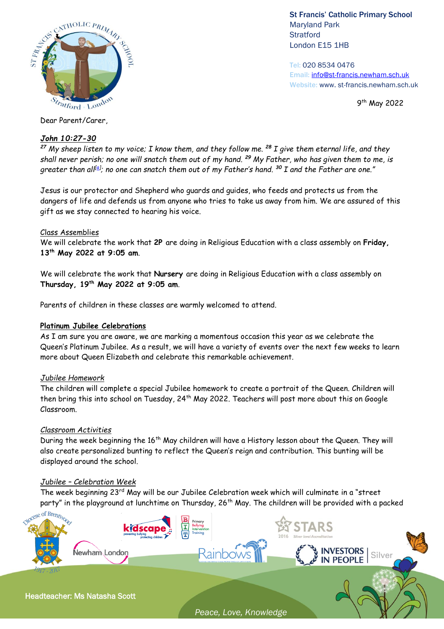

St Francis' Catholic Primary School Maryland Park **Stratford** London E15 1HB

Tel: 020 8534 0476 Email: [info@st-francis.newham.sch.uk](mailto:info@st-francis.newham.sch.uk) Website: www. st-francis.newham.sch.uk

9<sup>th</sup> May 2022

Dear Parent/Carer,

# *John 10:27-30*

*<sup>27</sup> My sheep listen to my voice; I know them, and they follow me. <sup>28</sup> I give them eternal life, and they shall never perish; no one will snatch them out of my hand. <sup>29</sup> My Father, who has given them to me, is greater than all[\[a\]](https://www.biblegateway.com/passage/?search=John%2010%3A27-30&version=NIV#fen-NIV-26511a) ; no one can snatch them out of my Father's hand. <sup>30</sup> I and the Father are one."*

Jesus is our protector and Shepherd who guards and guides, who feeds and protects us from the dangers of life and defends us from anyone who tries to take us away from him. We are assured of this gift as we stay connected to hearing his voice.

# Class Assemblies

We will celebrate the work that **2P** are doing in Religious Education with a class assembly on **Friday, 13th May 2022 at 9:05 am**.

We will celebrate the work that **Nursery** are doing in Religious Education with a class assembly on **Thursday, 19th May 2022 at 9:05 am**.

Parents of children in these classes are warmly welcomed to attend.

#### **Platinum Jubilee Celebrations**

As I am sure you are aware, we are marking a momentous occasion this year as we celebrate the Queen's Platinum Jubilee. As a result, we will have a variety of events over the next few weeks to learn more about Queen Elizabeth and celebrate this remarkable achievement.

# *Jubilee Homework*

The children will complete a special Jubilee homework to create a portrait of the Queen. Children will then bring this into school on Tuesday, 24<sup>th</sup> May 2022. Teachers will post more about this on Google Classroom.

# *Classroom Activities*

During the week beginning the 16<sup>th</sup> May children will have a History lesson about the Queen. They will also create personalized bunting to reflect the Queen's reign and contribution. This bunting will be displayed around the school.

# *Jubilee – Celebration Week*

The week beginning 23rd May will be our Jubilee Celebration week which will culminate in a "street party" in the playground at lunchtime on Thursday, 26<sup>th</sup> May. The children will be provided with a packed



*Peace, Love, Knowledge*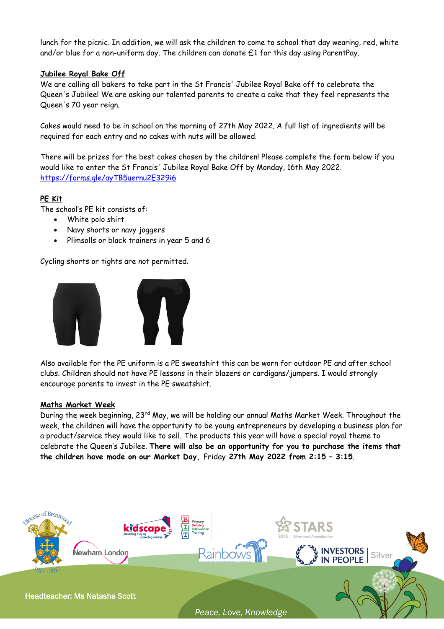lunch for the picnic. In addition, we will ask the children to come to school that day wearing, red, white and/or blue for a non-uniform day. The children can donate £1 for this day using ParentPay.

### **Jubilee Royal Bake Off**

We are calling all bakers to take part in the St Francis' Jubilee Royal Bake off to celebrate the Queen's Jubilee! We are asking our talented parents to create a cake that they feel represents the Queen's 70 year reign.

Cakes would need to be in school on the morning of 27th May 2022. A full list of ingredients will be required for each entry and no cakes with nuts will be allowed.

There will be prizes for the best cakes chosen by the children! Please complete the form below if you would like to enter the St Francis' Jubilee Royal Bake Off by Monday, 16th May 2022. <https://forms.gle/ayTB5uernu2E329i6>

# **PE Kit**

The school's PE kit consists of:

- White polo shirt
- Navy shorts or navy joggers
- Plimsolls or black trainers in year 5 and 6

Cycling shorts or tights are not permitted.



Also available for the PE uniform is a PE sweatshirt this can be worn for outdoor PE and after school clubs. Children should not have PE lessons in their blazers or cardigans/jumpers. I would strongly encourage parents to invest in the PE sweatshirt.

#### **Maths Market Week**

During the week beginning, 23<sup>rd</sup> May, we will be holding our annual Maths Market Week. Throughout the week, the children will have the opportunity to be young entrepreneurs by developing a business plan for a product/service they would like to sell. The products this year will have a special royal theme to celebrate the Queen's Jubilee. **There will also be an opportunity for you to purchase the items that the children have made on our Market Day,** Friday **27th May 2022 from 2:15 – 3:15**.



*Peace, Love, Knowledge*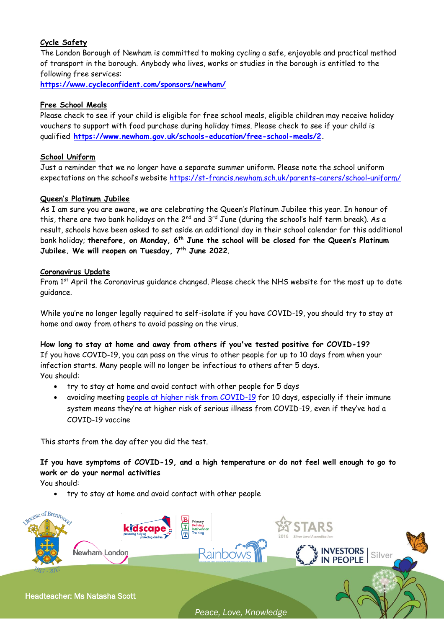# **Cycle Safety**

The London Borough of Newham is committed to making cycling a safe, enjoyable and practical method of transport in the borough. Anybody who lives, works or studies in the borough is entitled to the following free services:

**<https://www.cycleconfident.com/sponsors/newham/>**

# **Free School Meals**

Please check to see if your child is eligible for free school meals, eligible children may receive holiday vouchers to support with food purchase during holiday times. Please check to see if your child is qualified **[https://www.newham.gov.uk/schools-education/free-school-meals/2.](https://www.newham.gov.uk/schools-education/free-school-meals/2)** 

# **School Uniform**

Just a reminder that we no longer have a separate summer uniform. Please note the school uniform expectations on the school's website <https://st-francis.newham.sch.uk/parents-carers/school-uniform/>

# **Queen's Platinum Jubilee**

As I am sure you are aware, we are celebrating the Queen's Platinum Jubilee this year. In honour of this, there are two bank holidays on the  $2^{nd}$  and  $3^{rd}$  June (during the school's half term break). As a result, schools have been asked to set aside an additional day in their school calendar for this additional bank holiday; **therefore, on Monday, 6th June the school will be closed for the Queen's Platinum Jubilee. We will reopen on Tuesday, 7th June 2022**.

# **Coronavirus Update**

From 1st April the Coronavirus guidance changed. Please check the NHS website for the most up to date guidance.

While you're no longer legally required to self-isolate if you have COVID-19, you should try to stay at home and away from others to avoid passing on the virus.

# **How long to stay at home and away from others if you've tested positive for COVID-19?**

If you have COVID-19, you can pass on the virus to other people for up to 10 days from when your infection starts. Many people will no longer be infectious to others after 5 days. You should:

- try to stay at home and avoid contact with other people for 5 days
- avoiding meeting [people at higher risk from COVID-19](https://www.nhs.uk/conditions/coronavirus-covid-19/people-at-higher-risk/who-is-at-high-risk-from-coronavirus/) for 10 days, especially if their immune system means they're at higher risk of serious illness from COVID-19, even if they've had a COVID-19 vaccine

This starts from the day after you did the test.

**If you have symptoms of COVID-19, and a high temperature or do not feel well enough to go to work or do your normal activities**

You should:

try to stay at home and avoid contact with other people



*Peace, Love, Knowledge*